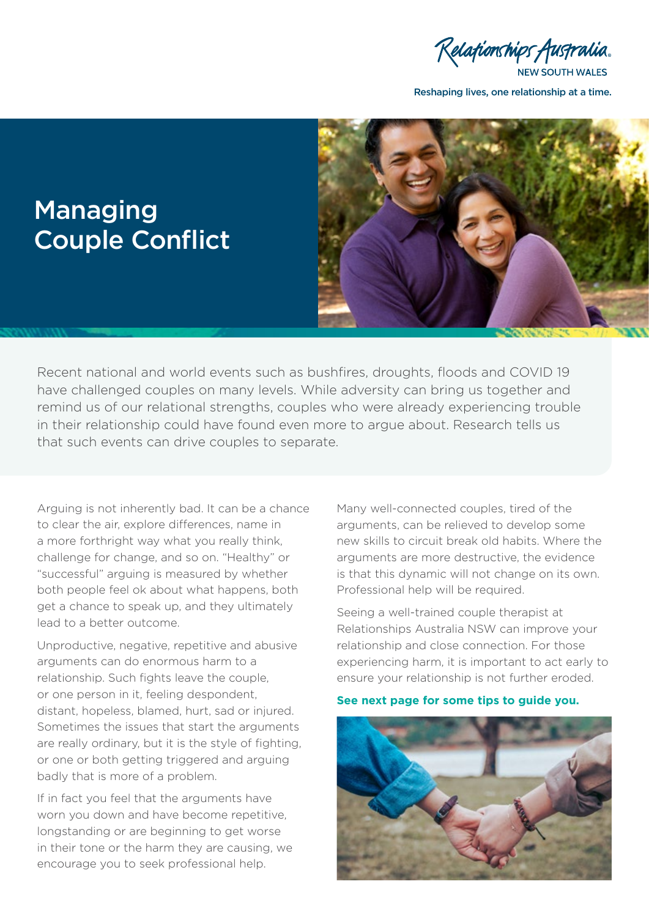Relationships Australia.

**NEW SOUTH WALES** 

Reshaping lives, one relationship at a time.



## Managing Couple Conflict

Recent national and world events such as bushfires, droughts, floods and COVID 19 have challenged couples on many levels. While adversity can bring us together and remind us of our relational strengths, couples who were already experiencing trouble in their relationship could have found even more to argue about. Research tells us that such events can drive couples to separate.

Arguing is not inherently bad. It can be a chance to clear the air, explore differences, name in a more forthright way what you really think, challenge for change, and so on. "Healthy" or "successful" arguing is measured by whether both people feel ok about what happens, both get a chance to speak up, and they ultimately lead to a better outcome.

Unproductive, negative, repetitive and abusive arguments can do enormous harm to a relationship. Such fights leave the couple, or one person in it, feeling despondent, distant, hopeless, blamed, hurt, sad or injured. Sometimes the issues that start the arguments are really ordinary, but it is the style of fighting, or one or both getting triggered and arguing badly that is more of a problem.

If in fact you feel that the arguments have worn you down and have become repetitive, longstanding or are beginning to get worse in their tone or the harm they are causing, we encourage you to seek professional help.

Many well-connected couples, tired of the arguments, can be relieved to develop some new skills to circuit break old habits. Where the arguments are more destructive, the evidence is that this dynamic will not change on its own. Professional help will be required.

Seeing a well-trained couple therapist at Relationships Australia NSW can improve your relationship and close connection. For those experiencing harm, it is important to act early to ensure your relationship is not further eroded.

#### **See next page for some tips to guide you.**